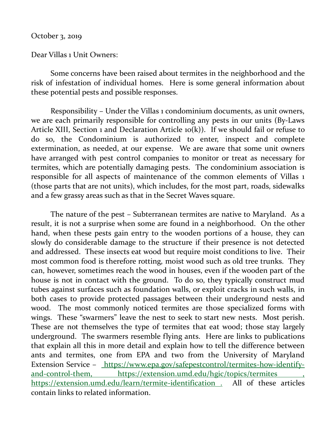October 3, 2019

Dear Villas 1 Unit Owners:

 Some concerns have been raised about termites in the neighborhood and the risk of infestation of individual homes. Here is some general information about these potential pests and possible responses.

 Responsibility – Under the Villas 1 condominium documents, as unit owners, we are each primarily responsible for controlling any pests in our units (By-Laws Article XIII, Section 1 and Declaration Article  $o(k)$ ). If we should fail or refuse to do so, the Condominium is authorized to enter, inspect and complete extermination, as needed, at our expense. We are aware that some unit owners have arranged with pest control companies to monitor or treat as necessary for termites, which are potentially damaging pests. The condominium association is responsible for all aspects of maintenance of the common elements of Villas 1 (those parts that are not units), which includes, for the most part, roads, sidewalks and a few grassy areas such as that in the Secret Waves square.

 The nature of the pest – Subterranean termites are native to Maryland. As a result, it is not a surprise when some are found in a neighborhood. On the other hand, when these pests gain entry to the wooden portions of a house, they can slowly do considerable damage to the structure if their presence is not detected and addressed. These insects eat wood but require moist conditions to live. Their most common food is therefore rotting, moist wood such as old tree trunks. They can, however, sometimes reach the wood in houses, even if the wooden part of the house is not in contact with the ground. To do so, they typically construct mud tubes against surfaces such as foundation walls, or exploit cracks in such walls, in both cases to provide protected passages between their underground nests and wood. The most commonly noticed termites are those specialized forms with wings. These "swarmers" leave the nest to seek to start new nests. Most perish. These are not themselves the type of termites that eat wood; those stay largely underground. The swarmers resemble flying ants. Here are links to publications that explain all this in more detail and explain how to tell the difference between ants and termites, one from EPA and two from the University of Maryland Extension Service – https://www.epa.gov/safepestcontrol/termites-how-identifyand-control-them, https://extension.umd.edu/hgic/topics/termites https://extension.umd.edu/learn/termite-identification . All of these articles contain links to related information.